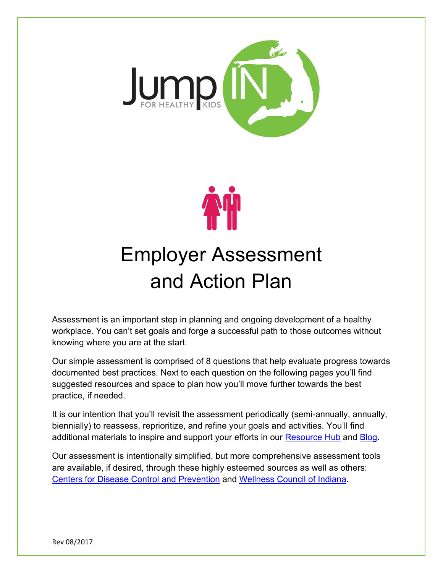



# Employer Assessment and Action Plan

Assessment is an important step in planning and ongoing development of a healthy workplace. You can't set goals and forge a successful path to those outcomes without knowing where you are at the start.

Our simple assessment is comprised of 8 questions that help evaluate progress towards documented best practices. Next to each question on the following pages you'll find suggested resources and space to plan how you'll move further towards the best practice, if needed.

It is our intention that you'll revisit the assessment periodically (semi-annually, annually, biennially) to reassess, reprioritize, and refine your goals and activities. You'll find additional materials to inspire and support your efforts in our [Resource Hub](http://www.jumpinforhealthykids.org/resources/) and Blog.

Our assessment is intentionally simplified, but more comprehensive assessment tools are available, if desired, through these highly esteemed sources as well as others: [Centers for Disease Control and Prevention](https://www.cdc.gov/dhdsp/pubs/docs/HSC_Manual.pdf) and [Wellness Council of Indiana.](https://www.wellnessindiana.org/project/achievewell/)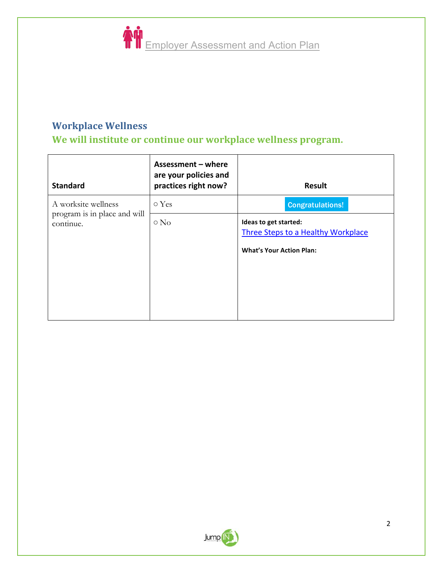

## **Workplace Wellness**

We will institute or continue our workplace wellness program.

| <b>Standard</b>                                     | Assessment - where<br>are your policies and<br>practices right now? | <b>Result</b>                                                                                  |
|-----------------------------------------------------|---------------------------------------------------------------------|------------------------------------------------------------------------------------------------|
| A worksite wellness<br>program is in place and will | ○ Yes                                                               | <b>Congratulations!</b>                                                                        |
| continue.                                           | $\circ$ No                                                          | Ideas to get started:<br>Three Steps to a Healthy Workplace<br><b>What's Your Action Plan:</b> |

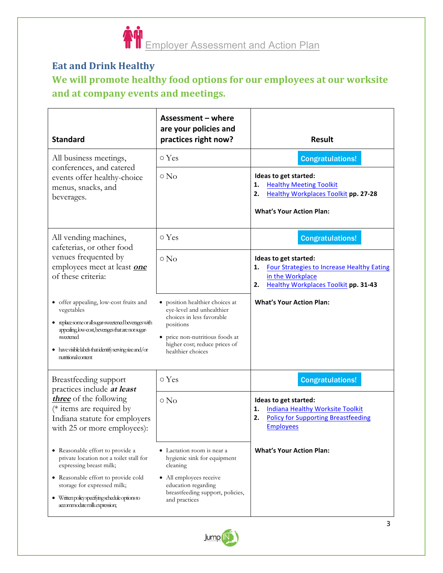

## **Eat and Drink Healthy** We will promote healthy food options for our employees at our worksite and at company events and meetings.

| <b>Standard</b>                                                                                                                                                                                                                                                   | Assessment - where<br>are your policies and<br>practices right now?                                                                                                                           | <b>Result</b>                                                                                                                                             |
|-------------------------------------------------------------------------------------------------------------------------------------------------------------------------------------------------------------------------------------------------------------------|-----------------------------------------------------------------------------------------------------------------------------------------------------------------------------------------------|-----------------------------------------------------------------------------------------------------------------------------------------------------------|
| All business meetings,<br>conferences, and catered<br>events offer healthy-choice<br>menus, snacks, and<br>beverages.                                                                                                                                             | o Yes                                                                                                                                                                                         | <b>Congratulations!</b>                                                                                                                                   |
|                                                                                                                                                                                                                                                                   | $\circ$ No                                                                                                                                                                                    | Ideas to get started:<br><b>Healthy Meeting Toolkit</b><br>1.<br><b>Healthy Workplaces Toolkit pp. 27-28</b><br>2.<br><b>What's Your Action Plan:</b>     |
| All vending machines,<br>cafeterias, or other food<br>venues frequented by<br>employees meet at least one<br>of these criteria:                                                                                                                                   | o Yes                                                                                                                                                                                         | <b>Congratulations!</b>                                                                                                                                   |
|                                                                                                                                                                                                                                                                   | $\circ$ No                                                                                                                                                                                    | Ideas to get started:<br><b>Four Strategies to Increase Healthy Eating</b><br>1.<br>in the Workplace<br><b>Healthy Workplaces Toolkit pp. 31-43</b><br>2. |
| • offer appealing, low-cost fruits and<br>vegetables<br>· replace some or all sugar-sweetened beverages with<br>appealing, low-cost, beverages that are not sugar-<br>sweetened<br>• have visible labels that identify serving size and/or<br>nutritional content | position healthier choices at<br>eye-level and unhealthier<br>choices in less favorable<br>positions<br>• price non-nutritious foods at<br>higher cost; reduce prices of<br>healthier choices | <b>What's Your Action Plan:</b>                                                                                                                           |
| Breastfeeding support<br>practices include at least<br>three of the following<br>(* items are required by<br>Indiana statute for employers<br>with 25 or more employees):                                                                                         | o Yes                                                                                                                                                                                         | <b>Congratulations!</b>                                                                                                                                   |
|                                                                                                                                                                                                                                                                   | $\circ$ No                                                                                                                                                                                    | Ideas to get started:<br><b>Indiana Healthy Worksite Toolkit</b><br>1.<br><b>Policy for Supporting Breastfeeding</b><br>2.<br><b>Employees</b>            |
| • Reasonable effort to provide a<br>private location not a toilet stall for<br>expressing breast milk;                                                                                                                                                            | • Lactation room is near a<br>hygienic sink for equipment<br>cleaning                                                                                                                         | <b>What's Your Action Plan:</b>                                                                                                                           |
| • Reasonable effort to provide cold<br>storage for expressed milk;<br>• Written policy specifying schedule options to<br>accommodate milk expression;                                                                                                             | • All employees receive<br>education regarding<br>breastfeeding support, policies,<br>and practices                                                                                           |                                                                                                                                                           |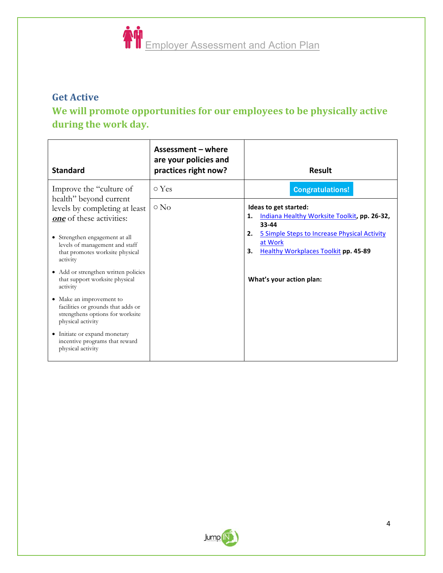

#### **Get Active**

## We will promote opportunities for our employees to be physically active during the work day.

| <b>Standard</b>                                                                                                         | Assessment – where<br>are your policies and<br>practices right now? | <b>Result</b>                                                                                                      |
|-------------------------------------------------------------------------------------------------------------------------|---------------------------------------------------------------------|--------------------------------------------------------------------------------------------------------------------|
| Improve the "culture of                                                                                                 | o Yes                                                               | <b>Congratulations!</b>                                                                                            |
| health" beyond current<br>levels by completing at least<br>one of these activities:                                     | $\circ$ No                                                          | Ideas to get started:<br>Indiana Healthy Worksite Toolkit, pp. 26-32,<br>1.<br>33-44                               |
| • Strengthen engagement at all<br>levels of management and staff<br>that promotes worksite physical<br>activity         |                                                                     | 5 Simple Steps to Increase Physical Activity<br>2.<br>at Work<br><b>Healthy Workplaces Toolkit pp. 45-89</b><br>3. |
| • Add or strengthen written policies<br>that support worksite physical<br>activity                                      |                                                                     | What's your action plan:                                                                                           |
| • Make an improvement to<br>facilities or grounds that adds or<br>strengthens options for worksite<br>physical activity |                                                                     |                                                                                                                    |
| • Initiate or expand monetary<br>incentive programs that reward<br>physical activity                                    |                                                                     |                                                                                                                    |